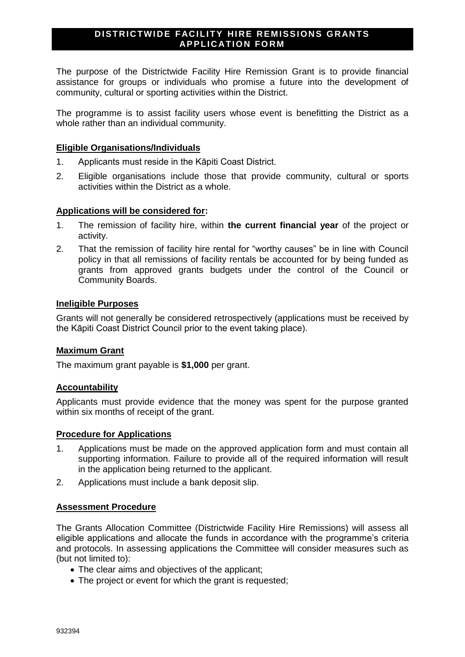### **DISTRICTWIDE FACILITY HIRE REMISSIONS GRANTS APPLICATION FORM**

The purpose of the Districtwide Facility Hire Remission Grant is to provide financial assistance for groups or individuals who promise a future into the development of community, cultural or sporting activities within the District.

The programme is to assist facility users whose event is benefitting the District as a whole rather than an individual community.

#### **Eligible Organisations/Individuals**

- 1. Applicants must reside in the Kāpiti Coast District.
- 2. Eligible organisations include those that provide community, cultural or sports activities within the District as a whole.

#### **Applications will be considered for:**

- 1. The remission of facility hire, within **the current financial year** of the project or activity.
- 2. That the remission of facility hire rental for "worthy causes" be in line with Council policy in that all remissions of facility rentals be accounted for by being funded as grants from approved grants budgets under the control of the Council or Community Boards.

### **Ineligible Purposes**

Grants will not generally be considered retrospectively (applications must be received by the Kāpiti Coast District Council prior to the event taking place).

#### **Maximum Grant**

The maximum grant payable is **\$1,000** per grant.

#### **Accountability**

Applicants must provide evidence that the money was spent for the purpose granted within six months of receipt of the grant.

#### **Procedure for Applications**

- 1. Applications must be made on the approved application form and must contain all supporting information. Failure to provide all of the required information will result in the application being returned to the applicant.
- 2. Applications must include a bank deposit slip.

#### **Assessment Procedure**

The Grants Allocation Committee (Districtwide Facility Hire Remissions) will assess all eligible applications and allocate the funds in accordance with the programme's criteria and protocols. In assessing applications the Committee will consider measures such as (but not limited to):

- The clear aims and objectives of the applicant;
- The project or event for which the grant is requested;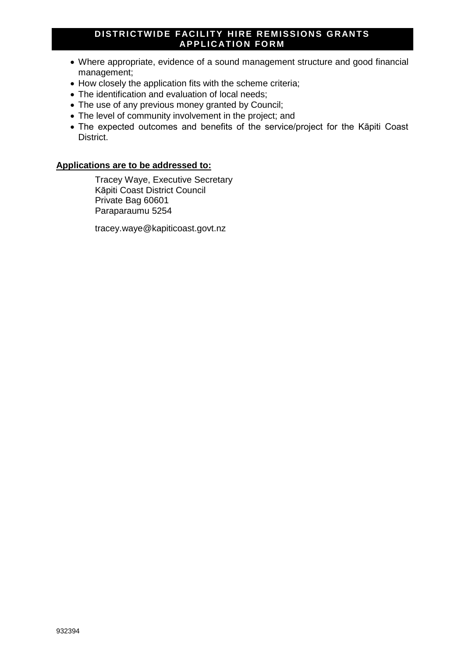## **DISTRICTWIDE FACILITY HIRE REMISSIONS GRANTS APPLICATION FORM**

- Where appropriate, evidence of a sound management structure and good financial management;
- How closely the application fits with the scheme criteria;
- The identification and evaluation of local needs;
- The use of any previous money granted by Council;
- The level of community involvement in the project; and
- The expected outcomes and benefits of the service/project for the Kāpiti Coast District.

### **Applications are to be addressed to:**

Tracey Waye, Executive Secretary Kāpiti Coast District Council Private Bag 60601 Paraparaumu 5254

tracey.waye@kapiticoast.govt.nz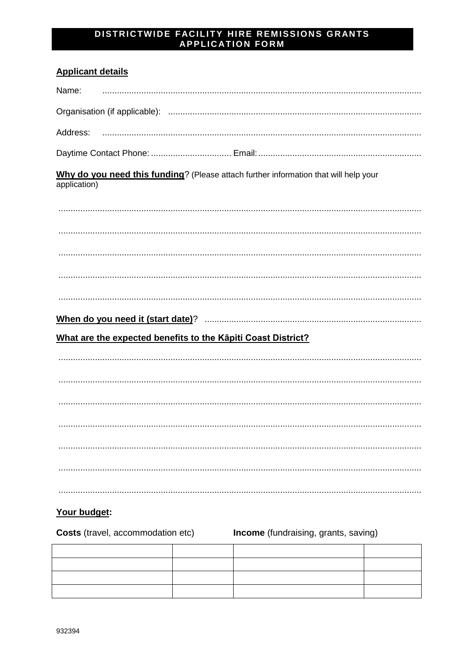# DISTRICTWIDE FACILITY HIRE REMISSIONS GRANTS<br>APPLICATION FORM

## **Applicant details**

| Name:                                                        |                                                                                      |  |  |  |
|--------------------------------------------------------------|--------------------------------------------------------------------------------------|--|--|--|
|                                                              |                                                                                      |  |  |  |
| Address:                                                     |                                                                                      |  |  |  |
|                                                              |                                                                                      |  |  |  |
| application)                                                 | Why do you need this funding? (Please attach further information that will help your |  |  |  |
|                                                              |                                                                                      |  |  |  |
|                                                              |                                                                                      |  |  |  |
|                                                              |                                                                                      |  |  |  |
|                                                              |                                                                                      |  |  |  |
|                                                              |                                                                                      |  |  |  |
|                                                              |                                                                                      |  |  |  |
| What are the expected benefits to the Kāpiti Coast District? |                                                                                      |  |  |  |
|                                                              |                                                                                      |  |  |  |
|                                                              |                                                                                      |  |  |  |
|                                                              |                                                                                      |  |  |  |
|                                                              |                                                                                      |  |  |  |
|                                                              |                                                                                      |  |  |  |
|                                                              |                                                                                      |  |  |  |
|                                                              |                                                                                      |  |  |  |

# Your budget:

| <b>Costs</b> (travel, accommodation etc) |  | Income (fundraising, grants, saving) |  |
|------------------------------------------|--|--------------------------------------|--|
|                                          |  |                                      |  |
|                                          |  |                                      |  |
|                                          |  |                                      |  |
|                                          |  |                                      |  |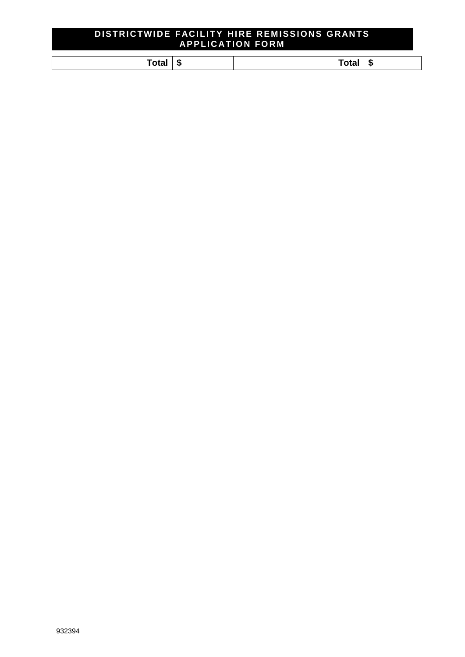## **DI STRI CTW I DE FACI LI TY HI RE REM I SSI O NS G RANTS AP P LI C ATI O N FO RM**

| œ     | vla. |
|-------|------|
| - 13  | мĐ   |
| 1 са. |      |